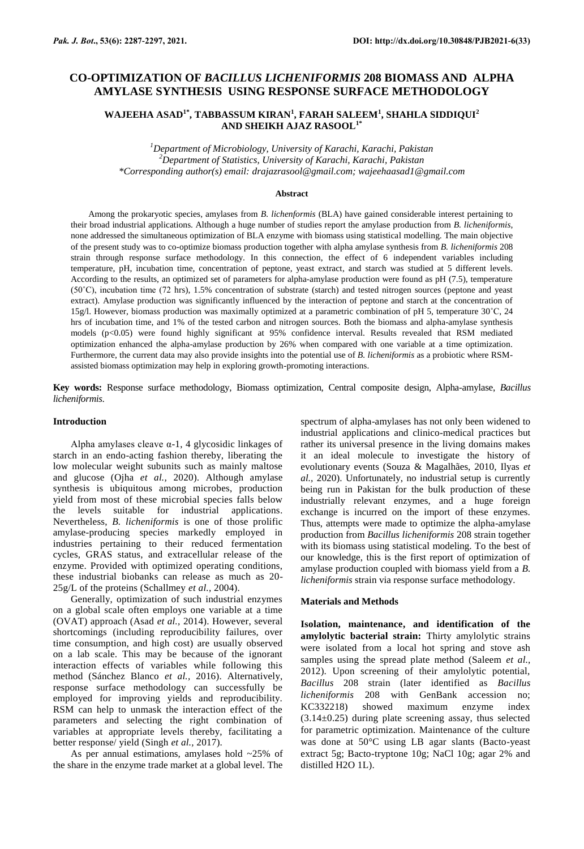# **CO-OPTIMIZATION OF** *BACILLUS LICHENIFORMIS* **208 BIOMASS AND ALPHA AMYLASE SYNTHESIS USING RESPONSE SURFACE METHODOLOGY**

## **WAJEEHA ASAD1\*, TABBASSUM KIRAN<sup>1</sup> , FARAH SALEEM<sup>1</sup> , SHAHLA SIDDIQUI<sup>2</sup> AND SHEIKH AJAZ RASOOL1\***

*<sup>1</sup>Department of Microbiology, University of Karachi, Karachi, Pakistan <sup>2</sup>Department of Statistics, University of Karachi, Karachi, Pakistan \*Corresponding author(s) email[: drajazrasool@gmail.com;](mailto:drajazrasool@gmail.com) [wajeehaasad1@gmail.com](mailto:wajeehaasad1@gmail.com)*

#### **Abstract**

Among the prokaryotic species, amylases from *B. lichenformis* (BLA) have gained considerable interest pertaining to their broad industrial applications. Although a huge number of studies report the amylase production from *B. licheniformis*, none addressed the simultaneous optimization of BLA enzyme with biomass using statistical modelling. The main objective of the present study was to co-optimize biomass production together with alpha amylase synthesis from *B. licheniformis* 208 strain through response surface methodology. In this connection, the effect of 6 independent variables including temperature, pH, incubation time, concentration of peptone, yeast extract, and starch was studied at 5 different levels. According to the results, an optimized set of parameters for alpha-amylase production were found as pH (7.5), temperature (50˚C), incubation time (72 hrs), 1.5% concentration of substrate (starch) and tested nitrogen sources (peptone and yeast extract). Amylase production was significantly influenced by the interaction of peptone and starch at the concentration of 15g/l. However, biomass production was maximally optimized at a parametric combination of pH 5, temperature 30˚C, 24 hrs of incubation time, and 1% of the tested carbon and nitrogen sources. Both the biomass and alpha-amylase synthesis models (p<0.05) were found highly significant at 95% confidence interval. Results revealed that RSM mediated optimization enhanced the alpha-amylase production by 26% when compared with one variable at a time optimization. Furthermore, the current data may also provide insights into the potential use of *B. licheniformis* as a probiotic where RSMassisted biomass optimization may help in exploring growth-promoting interactions.

**Key words:** Response surface methodology, Biomass optimization, Central composite design, Alpha-amylase, *Bacillus licheniformis*.

### **Introduction**

Alpha amylases cleave  $\alpha$ -1, 4 glycosidic linkages of starch in an endo-acting fashion thereby, liberating the low molecular weight subunits such as mainly maltose and glucose (Ojha *et al.,* 2020). Although amylase synthesis is ubiquitous among microbes, production yield from most of these microbial species falls below the levels suitable for industrial applications*.* Nevertheless, *B. licheniformis* is one of those prolific amylase-producing species markedly employed in industries pertaining to their reduced fermentation cycles, GRAS status, and extracellular release of the enzyme. Provided with optimized operating conditions, these industrial biobanks can release as much as 20- 25g/L of the proteins (Schallmey *et al.,* 2004).

Generally, optimization of such industrial enzymes on a global scale often employs one variable at a time (OVAT) approach (Asad *et al.,* 2014). However, several shortcomings (including reproducibility failures, over time consumption, and high cost) are usually observed on a lab scale. This may be because of the ignorant interaction effects of variables while following this method (Sánchez Blanco *et al.,* 2016). Alternatively, response surface methodology can successfully be employed for improving yields and reproducibility. RSM can help to unmask the interaction effect of the parameters and selecting the right combination of variables at appropriate levels thereby, facilitating a better response/ yield (Singh *et al.,* 2017).

As per annual estimations, amylases hold ~25% of the share in the enzyme trade market at a global level. The

spectrum of alpha-amylases has not only been widened to industrial applications and clinico-medical practices but rather its universal presence in the living domains makes it an ideal molecule to investigate the history of evolutionary events (Souza & Magalhães, 2010, Ilyas *et al.,* 2020). Unfortunately, no industrial setup is currently being run in Pakistan for the bulk production of these industrially relevant enzymes, and a huge foreign exchange is incurred on the import of these enzymes. Thus, attempts were made to optimize the alpha-amylase production from *Bacillus licheniformis* 208 strain together with its biomass using statistical modeling. To the best of our knowledge, this is the first report of optimization of amylase production coupled with biomass yield from a *B. licheniformis* strain via response surface methodology.

#### **Materials and Methods**

**Isolation, maintenance, and identification of the amylolytic bacterial strain:** Thirty amylolytic strains were isolated from a local hot spring and stove ash samples using the spread plate method (Saleem *et al.,* 2012). Upon screening of their amylolytic potential, *Bacillus* 208 strain (later identified as *Bacillus licheniformis* 208 with GenBank accession no; KC332218) showed maximum enzyme index  $(3.14\pm0.25)$  during plate screening assay, thus selected for parametric optimization. Maintenance of the culture was done at 50°C using LB agar slants (Bacto-yeast extract 5g; Bacto-tryptone 10g; NaCl 10g; agar 2% and distilled H2O 1L).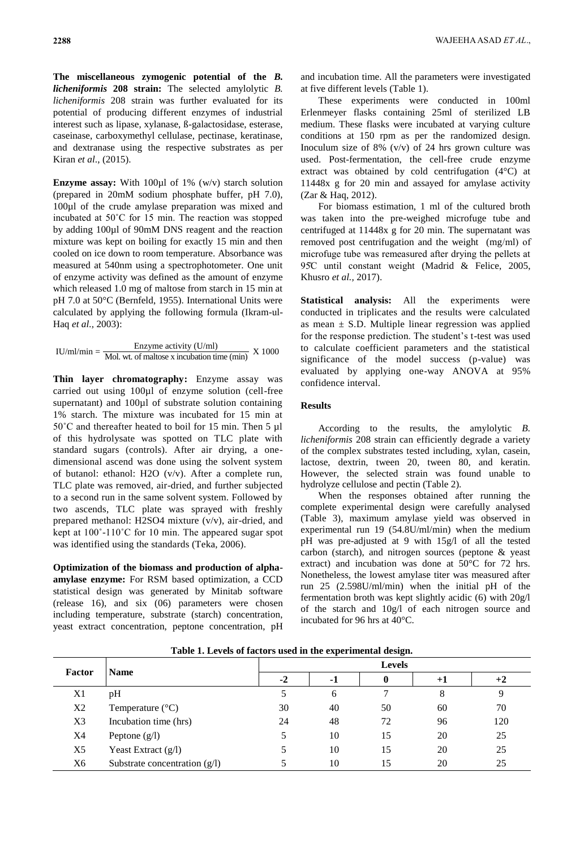**The miscellaneous zymogenic potential of the** *B. licheniformis* **208 strain:** The selected amylolytic *B. licheniformis* 208 strain was further evaluated for its potential of producing different enzymes of industrial interest such as lipase, xylanase, ß-galactosidase, esterase, caseinase, carboxymethyl cellulase, pectinase, keratinase, and dextranase using the respective substrates as per Kiran *et al*., (2015).

**Enzyme assay:** With 100ul of 1% (w/v) starch solution (prepared in 20mM sodium phosphate buffer, pH 7.0), 100µl of the crude amylase preparation was mixed and incubated at 50˚C for 15 min. The reaction was stopped by adding 100µl of 90mM DNS reagent and the reaction mixture was kept on boiling for exactly 15 min and then cooled on ice down to room temperature. Absorbance was measured at 540nm using a spectrophotometer. One unit of enzyme activity was defined as the amount of enzyme which released 1.0 mg of maltose from starch in 15 min at pH 7.0 at 50°C (Bernfeld, 1955). International Units were calculated by applying the following formula (Ikram-ul-Haq *et al.,* 2003):

IU/ml/min =  $\frac{\text{Enzyme activity (U/ml)}}{\text{Mol. wt. of maltose x incubation time (min)}}$  X 1000

**Thin layer chromatography:** Enzyme assay was carried out using 100µl of enzyme solution (cell-free supernatant) and 100µl of substrate solution containing 1% starch. The mixture was incubated for 15 min at 50˚C and thereafter heated to boil for 15 min. Then 5 µl of this hydrolysate was spotted on TLC plate with standard sugars (controls). After air drying, a onedimensional ascend was done using the solvent system of butanol: ethanol: H2O (v/v). After a complete run, TLC plate was removed, air-dried, and further subjected to a second run in the same solvent system. Followed by two ascends, TLC plate was sprayed with freshly prepared methanol: H2SO4 mixture (v/v), air-dried, and kept at 100˚-110˚C for 10 min. The appeared sugar spot was identified using the standards (Teka, 2006).

**Optimization of the biomass and production of alphaamylase enzyme:** For RSM based optimization, a CCD statistical design was generated by Minitab software (release 16), and six (06) parameters were chosen including temperature, substrate (starch) concentration, yeast extract concentration, peptone concentration, pH and incubation time. All the parameters were investigated at five different levels (Table 1).

These experiments were conducted in 100ml Erlenmeyer flasks containing 25ml of sterilized LB medium. These flasks were incubated at varying culture conditions at 150 rpm as per the randomized design. Inoculum size of 8% (v/v) of 24 hrs grown culture was used. Post-fermentation, the cell-free crude enzyme extract was obtained by cold centrifugation (4°C) at 11448x g for 20 min and assayed for amylase activity (Zar & Haq, 2012).

For biomass estimation, 1 ml of the cultured broth was taken into the pre-weighed microfuge tube and centrifuged at 11448x g for 20 min. The supernatant was removed post centrifugation and the weight (mg/ml) of microfuge tube was remeasured after drying the pellets at 95C until constant weight (Madrid & Felice, 2005, Khusro *et al.,* 2017).

**Statistical analysis:** All the experiments were conducted in triplicates and the results were calculated as mean  $\pm$  S.D. Multiple linear regression was applied for the response prediction. The student's t-test was used to calculate coefficient parameters and the statistical significance of the model success (p-value) was evaluated by applying one-way ANOVA at 95% confidence interval.

## **Results**

According to the results, the amylolytic *B. licheniformis* 208 strain can efficiently degrade a variety of the complex substrates tested including, xylan, casein, lactose, dextrin, tween 20, tween 80, and keratin. However, the selected strain was found unable to hydrolyze cellulose and pectin (Table 2).

When the responses obtained after running the complete experimental design were carefully analysed (Table 3), maximum amylase yield was observed in experimental run 19 (54.8U/ml/min) when the medium pH was pre-adjusted at 9 with 15g/l of all the tested carbon (starch), and nitrogen sources (peptone & yeast extract) and incubation was done at 50°C for 72 hrs. Nonetheless, the lowest amylase titer was measured after run 25 (2.598U/ml/min) when the initial pH of the fermentation broth was kept slightly acidic (6) with 20g/l of the starch and 10g/l of each nitrogen source and incubated for 96 hrs at 40°C.

| <b>Factor</b> | <b>Name</b>                     |      | <b>Levels</b> |    |      |     |  |  |
|---------------|---------------------------------|------|---------------|----|------|-----|--|--|
|               |                                 | $-2$ | -1            | 0  | $+1$ | +2  |  |  |
| X1            | pH                              |      | 6             |    | 8    | 9   |  |  |
| X2            | Temperature $(^{\circ}C)$       | 30   | 40            | 50 | 60   | 70  |  |  |
| X3            | Incubation time (hrs)           | 24   | 48            | 72 | 96   | 120 |  |  |
| X4            | Peptone $(g/l)$                 |      | 10            | 15 | 20   | 25  |  |  |
| X5            | Yeast Extract $(g/l)$           |      | 10            | 15 | 20   | 25  |  |  |
| X6            | Substrate concentration $(g/l)$ |      | 10            | 15 | 20   | 25  |  |  |

**Table 1. Levels of factors used in the experimental design.**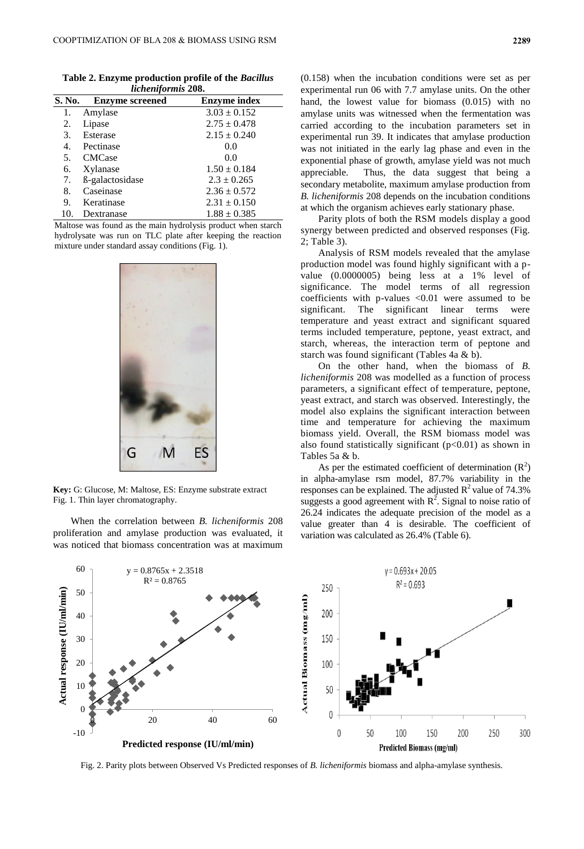|                           |  | Table 2. Enzyme production profile of the Bacillus |  |  |  |
|---------------------------|--|----------------------------------------------------|--|--|--|
| <i>licheniformis</i> 208. |  |                                                    |  |  |  |

| S. No. | <b>Enzyme screened</b>      | <b>Enzyme index</b> |
|--------|-----------------------------|---------------------|
| 1.     | Amylase                     | $3.03 \pm 0.152$    |
| 2.     | Lipase                      | $2.75 \pm 0.478$    |
| 3.     | Esterase                    | $2.15 \pm 0.240$    |
| 4.     | Pectinase                   | 0.0                 |
| 5.     | <b>CMCase</b>               | 0.0                 |
| 6.     | Xylanase                    | $1.50 \pm 0.184$    |
| 7.     | ß-galactosidase             | $2.3 \pm 0.265$     |
| 8.     | Caseinase                   | $2.36 \pm 0.572$    |
| 9.     | Keratinase                  | $2.31 \pm 0.150$    |
| 10.    | Dextranase                  | $1.88 \pm 0.385$    |
| .      | $\sim$ $\sim$ $\sim$ $\sim$ | .                   |

Maltose was found as the main hydrolysis product when starch hydrolysate was run on TLC plate after keeping the reaction mixture under standard assay conditions (Fig. 1).



**Key:** G: Glucose, M: Maltose, ES: Enzyme substrate extract **Key:** Fig. 1. Thin layer chromatography.

When the correlation between *B. licheniformis* 208 proliferation and amylase production was evaluated, it was noticed that biomass concentration was at maximum

(0.158) when the incubation conditions were set as per experimental run 06 with 7.7 amylase units. On the other hand, the lowest value for biomass (0.015) with no amylase units was witnessed when the fermentation was carried according to the incubation parameters set in experimental run 39. It indicates that amylase production was not initiated in the early lag phase and even in the exponential phase of growth, amylase yield was not much appreciable. Thus, the data suggest that being a secondary metabolite, maximum amylase production from *B. licheniformis* 208 depends on the incubation conditions at which the organism achieves early stationary phase.

Parity plots of both the RSM models display a good synergy between predicted and observed responses (Fig. 2; Table 3).

Analysis of RSM models revealed that the amylase production model was found highly significant with a pvalue (0.0000005) being less at a 1% level of significance. The model terms of all regression coefficients with p-values <0.01 were assumed to be significant. The significant linear terms were temperature and yeast extract and significant squared terms included temperature, peptone, yeast extract, and starch, whereas, the interaction term of peptone and starch was found significant (Tables 4a & b).

On the other hand, when the biomass of *B. licheniformis* 208 was modelled as a function of process parameters, a significant effect of temperature, peptone, yeast extract, and starch was observed. Interestingly, the model also explains the significant interaction between time and temperature for achieving the maximum biomass yield. Overall, the RSM biomass model was also found statistically significant  $(p<0.01)$  as shown in Tables 5a & b.

As per the estimated coefficient of determination  $(R^2)$ in alpha-amylase rsm model, 87.7% variability in the responses can be explained. The adjusted  $R^2$  value of 74.3% suggests a good agreement with  $R^2$ . Signal to noise ratio of 26.24 indicates the adequate precision of the model as a value greater than 4 is desirable. The coefficient of variation was calculated as 26.4% (Table 6).

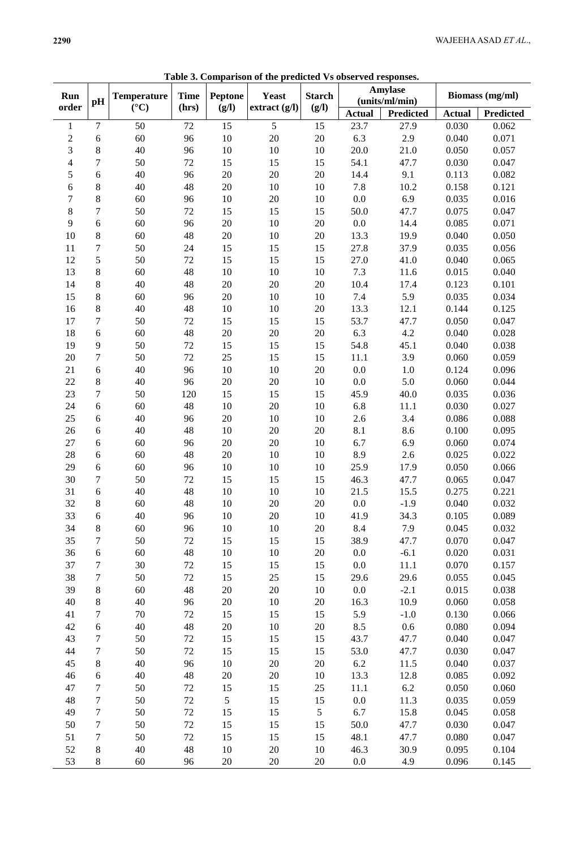|                  |                  |                    |             | сошрагьон ог ик |                 |               | <b>Trahamaca</b>          |                  |                        |                  |
|------------------|------------------|--------------------|-------------|-----------------|-----------------|---------------|---------------------------|------------------|------------------------|------------------|
| Run              |                  | <b>Temperature</b> | <b>Time</b> | Peptone         | <b>Yeast</b>    | <b>Starch</b> | Amylase<br>(units/ml/min) |                  | <b>Biomass</b> (mg/ml) |                  |
| order            | pH               | $({}^{\circ}C)$    | (hrs)       | (g/l)           | extract $(g/l)$ | (g/I)         |                           |                  |                        |                  |
|                  |                  |                    |             |                 |                 |               | <b>Actual</b>             | <b>Predicted</b> | <b>Actual</b>          | <b>Predicted</b> |
| $\mathbf{1}$     | $\tau$           | 50                 | $72\,$      | 15              | $\overline{5}$  | 15            | 23.7                      | 27.9             | 0.030                  | 0.062            |
| $\sqrt{2}$       | $\sqrt{6}$       | 60                 | 96          | $10\,$          | $20\,$          | $20\,$        | 6.3                       | 2.9              | 0.040                  | 0.071            |
| 3                | $\,8$            | 40                 | 96          | $10\,$          | $10\,$          | $10\,$        | 20.0                      | 21.0             | 0.050                  | 0.057            |
| $\overline{4}$   | $\boldsymbol{7}$ | 50                 | $72\,$      | 15              | 15              | 15            | 54.1                      | 47.7             | 0.030                  | 0.047            |
| $\sqrt{5}$       | $\sqrt{6}$       | 40                 | 96          | $20\,$          | $20\,$          | $20\,$        | 14.4                      | 9.1              | 0.113                  | 0.082            |
| $\sqrt{6}$       | $\,8$            | 40                 | 48          | $20\,$          | $10\,$          | $10\,$        | 7.8                       | 10.2             | 0.158                  | 0.121            |
| $\boldsymbol{7}$ | $8\,$            | 60                 | 96          | $10\,$          | $20\,$          | $10\,$        | 0.0                       | 6.9              | 0.035                  | 0.016            |
| $\,8\,$          | $\boldsymbol{7}$ | 50                 | $72\,$      | 15              | 15              | 15            | 50.0                      | 47.7             | 0.075                  | 0.047            |
| 9                | $\sqrt{6}$       | 60                 | 96          | $20\,$          | $10\,$          | $20\,$        | 0.0                       | 14.4             | 0.085                  | 0.071            |
| 10               | $8\,$            | 60                 | 48          | 20              | $10\,$          | $20\,$        | 13.3                      | 19.9             | 0.040                  | 0.050            |
| 11               | 7                | 50                 | $24\,$      | 15              | 15              | 15            | 27.8                      | 37.9             | 0.035                  | 0.056            |
| 12               | 5                | 50                 | $72\,$      | 15              | 15              | 15            | 27.0                      | 41.0             | 0.040                  | 0.065            |
| 13               | $\,8\,$          | 60                 | 48          | $10\,$          | $10\,$          | 10            | 7.3                       | 11.6             | 0.015                  | 0.040            |
| 14               | $8\,$            | 40                 | 48          | $20\,$          | $20\,$          | $20\,$        | 10.4                      | 17.4             | 0.123                  | 0.101            |
| 15               | $8\,$            | 60                 | 96          | $20\,$          | $10\,$          | $10\,$        | 7.4                       | 5.9              | 0.035                  | 0.034            |
| 16               | $8\,$            | 40                 | 48          | $10\,$          | $10\,$          | $20\,$        | 13.3                      | 12.1             | 0.144                  | 0.125            |
| 17               | $\boldsymbol{7}$ | 50                 | $72\,$      | 15              | 15              | 15            | 53.7                      | 47.7             | 0.050                  | 0.047            |
| 18               | $\sqrt{6}$       | 60                 | 48          | $20\,$          | $20\,$          | $20\,$        | 6.3                       | 4.2              | 0.040                  | 0.028            |
| 19               | $\overline{9}$   | 50                 | $72\,$      | 15              | 15              | 15            | 54.8                      | 45.1             | 0.040                  | 0.038            |
| $20\,$           | $\boldsymbol{7}$ | 50                 | $72\,$      | 25              | 15              | 15            | 11.1                      | 3.9              | 0.060                  | 0.059            |
| 21               | 6                | 40                 | 96          | $10\,$          | $10\,$          | $20\,$        | 0.0                       | 1.0              | 0.124                  | 0.096            |
| 22               | $8\,$            | 40                 | 96          | 20              | $20\,$          | $10\,$        | 0.0                       | 5.0              | 0.060                  | 0.044            |
| 23               | $\overline{7}$   | 50                 | 120         | 15              | 15              | 15            | 45.9                      | 40.0             | 0.035                  | 0.036            |
| 24               | $\sqrt{6}$       | 60                 | 48          | $10\,$          | $20\,$          | 10            | 6.8                       | 11.1             | 0.030                  | 0.027            |
| 25               | $\sqrt{6}$       | 40                 | 96          | 20              | 10              | 10            | 2.6                       | 3.4              | 0.086                  | 0.088            |
| 26               | $\sqrt{6}$       | 40                 | 48          | $10\,$          | 20              | 20            | 8.1                       | 8.6              | 0.100                  | 0.095            |
|                  |                  |                    |             |                 |                 |               | 6.7                       | 6.9              |                        |                  |
| $27\,$           | $\sqrt{6}$       | 60                 | 96          | $20\,$          | $20\,$          | $10\,$        |                           |                  | 0.060                  | 0.074            |
| 28               | $\sqrt{6}$       | 60                 | 48          | $20\,$          | $10\,$          | $10\,$        | 8.9                       | $2.6\,$          | 0.025                  | 0.022            |
| 29               | $\sqrt{6}$       | 60                 | 96          | $10\,$          | 10              | $10\,$        | 25.9                      | 17.9             | 0.050                  | 0.066            |
| 30               | $\tau$           | 50                 | $72\,$      | 15              | 15              | 15            | 46.3                      | 47.7             | 0.065                  | 0.047            |
| 31               | $\sqrt{6}$       | 40                 | 48          | $10\,$          | 10              | $10\,$        | 21.5                      | 15.5             | 0.275                  | 0.221            |
| 32               | $\,8\,$          | 60                 | 48          | $10\,$          | 20              | $20\,$        | $0.0\,$                   | $-1.9$           | 0.040                  | 0.032            |
| 33               | 6                | 40                 | 96          | 10              | 20              | 10            | 41.9                      | 34.3             | 0.105                  | 0.089            |
| 34               | 8                | 60                 | 96          | 10              | 10              | 20            | 8.4                       | 7.9              | 0.045                  | 0.032            |
| 35               | 7                | 50                 | $72\,$      | 15              | 15              | 15            | 38.9                      | 47.7             | 0.070                  | 0.047            |
| 36               | 6                | 60                 | 48          | 10              | 10              | $20\,$        | $0.0\,$                   | $-6.1$           | 0.020                  | 0.031            |
| 37               | $\tau$           | 30                 | 72          | 15              | 15              | 15            | 0.0                       | 11.1             | 0.070                  | 0.157            |
| 38               | 7                | 50                 | 72          | 15              | 25              | 15            | 29.6                      | 29.6             | 0.055                  | 0.045            |
| 39               | 8                | 60                 | 48          | 20              | $20\,$          | 10            | $0.0\,$                   | $-2.1$           | 0.015                  | 0.038            |
| 40               | 8                | 40                 | 96          | 20              | 10              | $20\,$        | 16.3                      | 10.9             | 0.060                  | 0.058            |
| 41               | $\tau$           | $70\,$             | $72\,$      | 15              | 15              | 15            | 5.9                       | $-1.0$           | 0.130                  | 0.066            |
| 42               | $\sqrt{6}$       | 40                 | 48          | 20              | 10              | 20            | 8.5                       | $0.6\,$          | 0.080                  | 0.094            |
| 43               | $\tau$           | 50                 | $72\,$      | 15              | 15              | 15            | 43.7                      | 47.7             | 0.040                  | 0.047            |
| 44               | $\tau$           | 50                 | $72\,$      | 15              | 15              | 15            | 53.0                      | 47.7             | 0.030                  | 0.047            |
| 45               | 8                | 40                 | 96          | $10\,$          | $20\,$          | 20            | 6.2                       | 11.5             | 0.040                  | 0.037            |
| 46               | $\sqrt{6}$       | 40                 | 48          | $20\,$          | $20\,$          | 10            | 13.3                      | 12.8             | 0.085                  | 0.092            |
| 47               | $\tau$           | 50                 | $72\,$      | 15              | 15              | $25\,$        | 11.1                      | $6.2\,$          | 0.050                  | 0.060            |
| 48               | $\tau$           | 50                 | $72\,$      | 5               | 15              | 15            | 0.0                       | 11.3             | 0.035                  | 0.059            |
| 49               | $\tau$           | 50                 | $72\,$      | 15              | 15              | 5             | 6.7                       | 15.8             | 0.045                  | 0.058            |
| 50               | 7                | 50                 | $72\,$      | 15              | 15              | 15            | 50.0                      | 47.7             | 0.030                  | 0.047            |
| 51               | $\tau$           | 50                 | $72\,$      | 15              | 15              | 15            | 48.1                      | 47.7             | 0.080                  | 0.047            |
| 52               | 8                | 40                 | 48          | $10\,$          | $20\,$          | 10            | 46.3                      | 30.9             | 0.095                  | 0.104            |
| 53               | 8                | 60                 | 96          | $20\,$          | $20\,$          | $20\,$        | $0.0\,$                   | 4.9              | 0.096                  | 0.145            |
|                  |                  |                    |             |                 |                 |               |                           |                  |                        |                  |

**Table 3. Comparison of the predicted Vs observed responses.**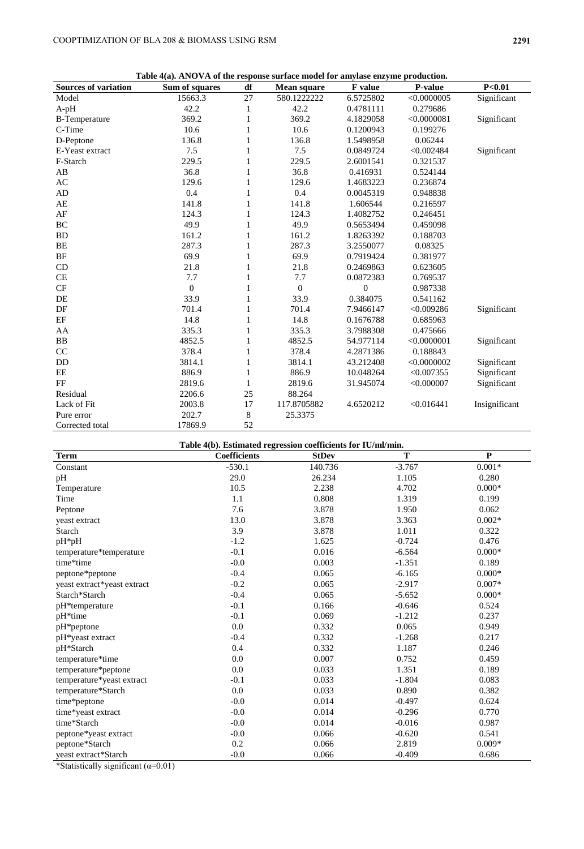**Table 4(a). ANOVA of the response surface model for amylase enzyme production.**

|                             | Table 4(a). ANOVA of the response surface model for amylase enzyme production. |              |                    |                |                |               |
|-----------------------------|--------------------------------------------------------------------------------|--------------|--------------------|----------------|----------------|---------------|
| <b>Sources of variation</b> | Sum of squares                                                                 | df           | <b>Mean square</b> | <b>F</b> value | <b>P-value</b> | P<0.01        |
| Model                       | 15663.3                                                                        | 27           | 580.1222222        | 6.5725802      | < 0.0000005    | Significant   |
| $A-pH$                      | 42.2                                                                           | 1            | 42.2               | 0.4781111      | 0.279686       |               |
| <b>B-Temperature</b>        | 369.2                                                                          | 1            | 369.2              | 4.1829058      | <0.0000081     | Significant   |
| C-Time                      | 10.6                                                                           | 1            | 10.6               | 0.1200943      | 0.199276       |               |
| D-Peptone                   | 136.8                                                                          | 1            | 136.8              | 1.5498958      | 0.06244        |               |
| E-Yeast extract             | 7.5                                                                            | 1            | 7.5                | 0.0849724      | < 0.002484     | Significant   |
| F-Starch                    | 229.5                                                                          | 1            | 229.5              | 2.6001541      | 0.321537       |               |
| AB                          | 36.8                                                                           | 1            | 36.8               | 0.416931       | 0.524144       |               |
| AC                          | 129.6                                                                          | 1            | 129.6              | 1.4683223      | 0.236874       |               |
| AD                          | 0.4                                                                            | 1            | 0.4                | 0.0045319      | 0.948838       |               |
| AE                          | 141.8                                                                          | 1            | 141.8              | 1.606544       | 0.216597       |               |
| AF                          | 124.3                                                                          | 1            | 124.3              | 1.4082752      | 0.246451       |               |
| BC                          | 49.9                                                                           | 1            | 49.9               | 0.5653494      | 0.459098       |               |
| <b>BD</b>                   | 161.2                                                                          | 1            | 161.2              | 1.8263392      | 0.188703       |               |
| BE                          | 287.3                                                                          | 1            | 287.3              | 3.2550077      | 0.08325        |               |
| BF                          | 69.9                                                                           | 1            | 69.9               | 0.7919424      | 0.381977       |               |
| CD                          | 21.8                                                                           | 1            | 21.8               | 0.2469863      | 0.623605       |               |
| $\!$ $\!$                   | 7.7                                                                            | 1            | 7.7                | 0.0872383      | 0.769537       |               |
| CF                          | $\theta$                                                                       | $\mathbf{1}$ | $\theta$           | $\Omega$       | 0.987338       |               |
| DE                          | 33.9                                                                           | 1            | 33.9               | 0.384075       | 0.541162       |               |
| DF                          | 701.4                                                                          | 1            | 701.4              | 7.9466147      | < 0.009286     | Significant   |
| $\rm EF$                    | 14.8                                                                           | 1            | 14.8               | 0.1676788      | 0.685963       |               |
| AA                          | 335.3                                                                          | 1            | 335.3              | 3.7988308      | 0.475666       |               |
| BB                          | 4852.5                                                                         | 1            | 4852.5             | 54.977114      | < 0.0000001    | Significant   |
| CC                          | 378.4                                                                          | 1            | 378.4              | 4.2871386      | 0.188843       |               |
| DD                          | 3814.1                                                                         | 1            | 3814.1             | 43.212408      | < 0.0000002    | Significant   |
| EE                          | 886.9                                                                          | 1            | 886.9              | 10.048264      | < 0.007355     | Significant   |
| FF                          | 2819.6                                                                         | 1            | 2819.6             | 31.945074      | < 0.000007     | Significant   |
| Residual                    | 2206.6                                                                         | 25           | 88.264             |                |                |               |
| Lack of Fit                 | 2003.8                                                                         | 17           | 117.8705882        | 4.6520212      | < 0.016441     | Insignificant |
| Pure error                  | 202.7                                                                          | 8            | 25.3375            |                |                |               |
| Corrected total             | 17869.9                                                                        | 52           |                    |                |                |               |

| Table 4(b). Estimated regression coefficients for IU/ml/min. |                     |              |          |              |  |  |  |
|--------------------------------------------------------------|---------------------|--------------|----------|--------------|--|--|--|
| <b>Term</b>                                                  | <b>Coefficients</b> | <b>StDev</b> | T        | $\mathbf{P}$ |  |  |  |
| Constant                                                     | $-530.1$            | 140.736      | $-3.767$ | $0.001*$     |  |  |  |
| pH                                                           | 29.0                | 26.234       | 1.105    | 0.280        |  |  |  |
| Temperature                                                  | 10.5                | 2.238        | 4.702    | $0.000*$     |  |  |  |
| Time                                                         | 1.1                 | 0.808        | 1.319    | 0.199        |  |  |  |
| Peptone                                                      | 7.6                 | 3.878        | 1.950    | 0.062        |  |  |  |
| yeast extract                                                | 13.0                | 3.878        | 3.363    | $0.002*$     |  |  |  |
| Starch                                                       | 3.9                 | 3.878        | 1.011    | 0.322        |  |  |  |
| $pH*_{p}H$                                                   | $-1.2$              | 1.625        | $-0.724$ | 0.476        |  |  |  |
| temperature*temperature                                      | $-0.1$              | 0.016        | $-6.564$ | $0.000*$     |  |  |  |
| time*time                                                    | $-0.0$              | 0.003        | $-1.351$ | 0.189        |  |  |  |
| peptone*peptone                                              | $-0.4$              | 0.065        | $-6.165$ | $0.000*$     |  |  |  |
| yeast extract*yeast extract                                  | $-0.2$              | 0.065        | $-2.917$ | $0.007*$     |  |  |  |
| Starch*Starch                                                | $-0.4$              | 0.065        | $-5.652$ | $0.000*$     |  |  |  |
| pH*temperature                                               | $-0.1$              | 0.166        | $-0.646$ | 0.524        |  |  |  |
| pH*time                                                      | $-0.1$              | 0.069        | $-1.212$ | 0.237        |  |  |  |
| pH*peptone                                                   | 0.0                 | 0.332        | 0.065    | 0.949        |  |  |  |
| pH*yeast extract                                             | $-0.4$              | 0.332        | $-1.268$ | 0.217        |  |  |  |
| pH*Starch                                                    | 0.4                 | 0.332        | 1.187    | 0.246        |  |  |  |
| temperature*time                                             | 0.0                 | 0.007        | 0.752    | 0.459        |  |  |  |
| temperature*peptone                                          | 0.0                 | 0.033        | 1.351    | 0.189        |  |  |  |
| temperature*yeast extract                                    | $-0.1$              | 0.033        | $-1.804$ | 0.083        |  |  |  |
| temperature*Starch                                           | 0.0                 | 0.033        | 0.890    | 0.382        |  |  |  |
| time*peptone                                                 | $-0.0$              | 0.014        | $-0.497$ | 0.624        |  |  |  |
| time*yeast extract                                           | $-0.0$              | 0.014        | $-0.296$ | 0.770        |  |  |  |
| time*Starch                                                  | $-0.0$              | 0.014        | $-0.016$ | 0.987        |  |  |  |
| peptone*yeast extract                                        | $-0.0$              | 0.066        | $-0.620$ | 0.541        |  |  |  |
| peptone*Starch                                               | 0.2                 | 0.066        | 2.819    | $0.009*$     |  |  |  |
| yeast extract*Starch                                         | $-0.0$              | 0.066        | $-0.409$ | 0.686        |  |  |  |

\*Statistically significant  $(\alpha=0.01)$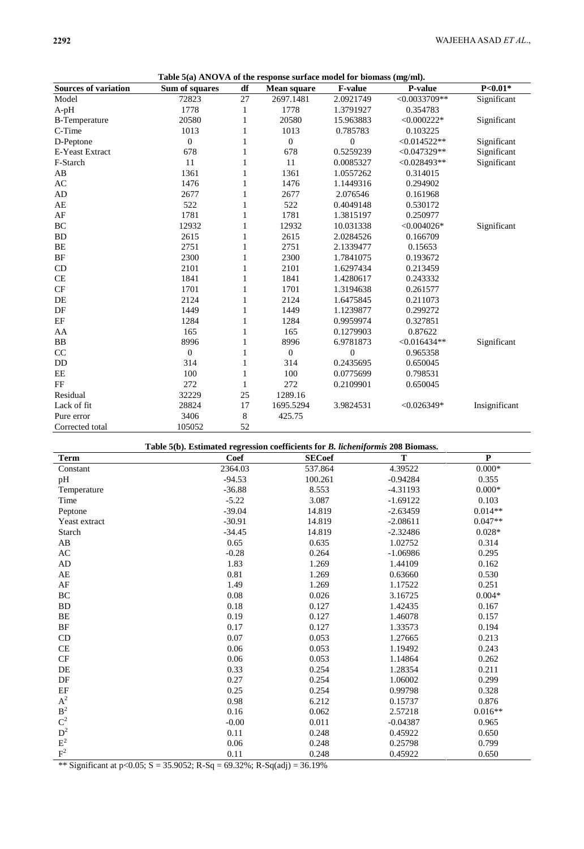**Table 5(a) ANOVA of the response surface model for biomass (mg/ml).**

|                             | Table 5(a) ANOVA of the response surface model for biomass (mg/mi). |              |                    |                |                |               |
|-----------------------------|---------------------------------------------------------------------|--------------|--------------------|----------------|----------------|---------------|
| <b>Sources of variation</b> | Sum of squares                                                      | df           | <b>Mean square</b> | <b>F-value</b> | <b>P-value</b> | $P<0.01*$     |
| Model                       | 72823                                                               | 27           | 2697.1481          | 2.0921749      | $<0.0033709**$ | Significant   |
| $A-pH$                      | 1778                                                                | 1            | 1778               | 1.3791927      | 0.354783       |               |
| <b>B-Temperature</b>        | 20580                                                               | 1            | 20580              | 15.963883      | $< 0.000222*$  | Significant   |
| C-Time                      | 1013                                                                | 1            | 1013               | 0.785783       | 0.103225       |               |
| D-Peptone                   | $\overline{0}$                                                      | 1            | $\boldsymbol{0}$   | $\mathbf{0}$   | $<0.014522**$  | Significant   |
| E-Yeast Extract             | 678                                                                 | 1            | 678                | 0.5259239      | $< 0.047329**$ | Significant   |
| F-Starch                    | 11                                                                  | 1            | 11                 | 0.0085327      | $<0.028493**$  | Significant   |
| AB                          | 1361                                                                | 1            | 1361               | 1.0557262      | 0.314015       |               |
| AC                          | 1476                                                                | 1            | 1476               | 1.1449316      | 0.294902       |               |
| AD                          | 2677                                                                | 1            | 2677               | 2.076546       | 0.161968       |               |
| $\mathbf{A}\mathbf{E}$      | 522                                                                 | 1            | 522                | 0.4049148      | 0.530172       |               |
| AF                          | 1781                                                                | 1            | 1781               | 1.3815197      | 0.250977       |               |
| BC                          | 12932                                                               | 1            | 12932              | 10.031338      | $< 0.004026*$  | Significant   |
| <b>BD</b>                   | 2615                                                                | 1            | 2615               | 2.0284526      | 0.166709       |               |
| BE                          | 2751                                                                | 1            | 2751               | 2.1339477      | 0.15653        |               |
| $\rm BF$                    | 2300                                                                | 1            | 2300               | 1.7841075      | 0.193672       |               |
| CD                          | 2101                                                                | 1            | 2101               | 1.6297434      | 0.213459       |               |
| CE                          | 1841                                                                | 1            | 1841               | 1.4280617      | 0.243332       |               |
| CF                          | 1701                                                                | 1            | 1701               | 1.3194638      | 0.261577       |               |
| DE                          | 2124                                                                | 1            | 2124               | 1.6475845      | 0.211073       |               |
| $\rm DF$                    | 1449                                                                | 1            | 1449               | 1.1239877      | 0.299272       |               |
| EF                          | 1284                                                                | 1            | 1284               | 0.9959974      | 0.327851       |               |
| AA                          | 165                                                                 | 1            | 165                | 0.1279903      | 0.87622        |               |
| BB                          | 8996                                                                | 1            | 8996               | 6.9781873      | $< 0.016434**$ | Significant   |
| CC                          | $\mathbf{0}$                                                        | 1            | $\boldsymbol{0}$   | $\theta$       | 0.965358       |               |
| DD                          | 314                                                                 | 1            | 314                | 0.2435695      | 0.650045       |               |
| EE                          | 100                                                                 | $\mathbf{1}$ | 100                | 0.0775699      | 0.798531       |               |
| FF                          | 272                                                                 | 1            | 272                | 0.2109901      | 0.650045       |               |
| Residual                    | 32229                                                               | 25           | 1289.16            |                |                |               |
| Lack of fit                 | 28824                                                               | 17           | 1695.5294          | 3.9824531      | $< 0.026349*$  | Insignificant |
| Pure error                  | 3406                                                                | 8            | 425.75             |                |                |               |
| Corrected total             | 105052                                                              | 52           |                    |                |                |               |

#### **Table 5(b). Estimated regression coefficients for** *B. licheniformis* **208 Biomass.**

| $\operatorname{\mathbf{Term}}$ | o<br><b>Coef</b> | <b>SECoef</b> | $\mathbf T$ | $\mathbf P$ |
|--------------------------------|------------------|---------------|-------------|-------------|
| Constant                       | 2364.03          | 537.864       | 4.39522     | $0.000*$    |
| pH                             | $-94.53$         | 100.261       | $-0.94284$  | 0.355       |
| Temperature                    | $-36.88$         | 8.553         | $-4.31193$  | $0.000*$    |
| Time                           | $-5.22$          | 3.087         | $-1.69122$  | 0.103       |
| Peptone                        | $-39.04$         | 14.819        | $-2.63459$  | $0.014**$   |
| Yeast extract                  | $-30.91$         | 14.819        | $-2.08611$  | $0.047**$   |
| Starch                         | $-34.45$         | 14.819        | $-2.32486$  | $0.028*$    |
| $\mathbf{A}\mathbf{B}$         | 0.65             | 0.635         | 1.02752     | 0.314       |
| $\mathbf{A}\mathbf{C}$         | $-0.28$          | 0.264         | $-1.06986$  | 0.295       |
| AD                             | 1.83             | 1.269         | 1.44109     | 0.162       |
| $\mathbf{A}\mathbf{E}$         | 0.81             | 1.269         | 0.63660     | 0.530       |
| $\rm AF$                       | 1.49             | 1.269         | 1.17522     | 0.251       |
| BC                             | 0.08             | 0.026         | 3.16725     | $0.004*$    |
| ${\rm BD}$                     | 0.18             | 0.127         | 1.42435     | 0.167       |
| $\rm BE$                       | 0.19             | 0.127         | 1.46078     | 0.157       |
| BF                             | 0.17             | 0.127         | 1.33573     | 0.194       |
| CD                             | $0.07\,$         | 0.053         | 1.27665     | 0.213       |
| $\!$ $\!$                      | 0.06             | 0.053         | 1.19492     | 0.243       |
| CF                             | 0.06             | 0.053         | 1.14864     | 0.262       |
| $\rm DE$                       | 0.33             | 0.254         | 1.28354     | 0.211       |
| DF                             | 0.27             | 0.254         | 1.06002     | 0.299       |
| $\rm EF$                       | 0.25             | 0.254         | 0.99798     | 0.328       |
| $\mathrm{A}^2$                 | 0.98             | 6.212         | 0.15737     | 0.876       |
| $\mathbf{B}^2$                 | 0.16             | 0.062         | 2.57218     | $0.016**$   |
| $\mathbf{C}^2$                 | $-0.00$          | 0.011         | $-0.04387$  | 0.965       |
| $\mathbf{D}^2$                 | 0.11             | 0.248         | 0.45922     | 0.650       |
| $\mbox{E}^2$                   | $0.06\,$         | 0.248         | 0.25798     | 0.799       |
| $\mathbf{F}^2$                 | 0.11             | 0.248         | 0.45922     | 0.650       |

\*\* Significant at p<0.05; S = 35.9052; R-Sq = 69.32%; R-Sq(adj) = 36.19%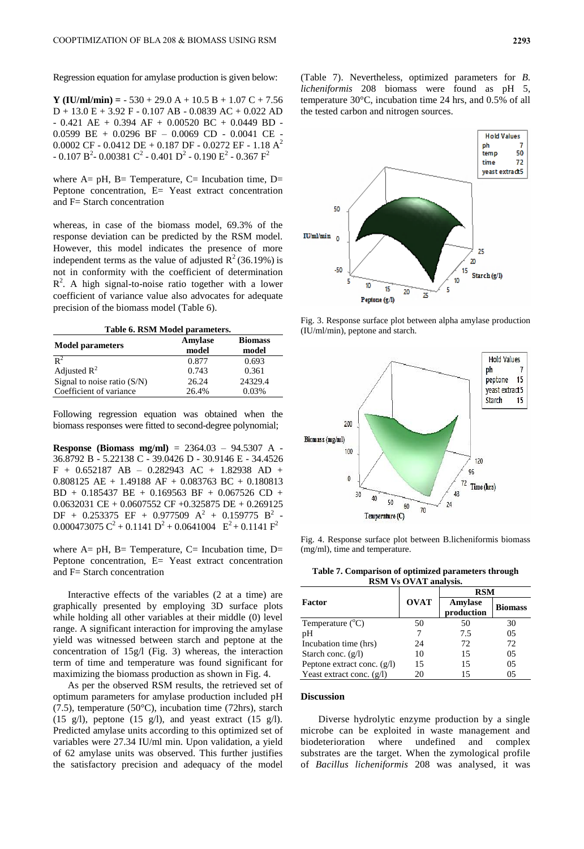Regression equation for amylase production is given below:

**Y (IU/ml/min) =** - 530 + 29.0 A + 10.5 B + 1.07 C + 7.56 D + 13.0 E + 3.92 F - 0.107 AB - 0.0839 AC + 0.022 AD - 0.421 AE + 0.394 AF + 0.00520 BC + 0.0449 BD -0.0599 BE + 0.0296 BF – 0.0069 CD - 0.0041 CE - 0.0002 CF - 0.0412 DE + 0.187 DF - 0.0272 EF - 1.18 A<sup>2</sup> - 0.107  $\rm B^2$ - 0.00381  $\rm C^2$  - 0.401  $\rm D^2$  - 0.190  $\rm E^2$  - 0.367  $\rm F^2$ 

where  $A= pH$ ,  $B= Temperature$ ,  $C= Incubation time$ ,  $D=$ Peptone concentration, E= Yeast extract concentration and F= Starch concentration

whereas, in case of the biomass model, 69.3% of the response deviation can be predicted by the RSM model. However, this model indicates the presence of more independent terms as the value of adjusted  $R^2(36.19\%)$  is not in conformity with the coefficient of determination  $R<sup>2</sup>$ . A high signal-to-noise ratio together with a lower coefficient of variance value also advocates for adequate precision of the biomass model (Table 6).

**Table 6. RSM Model parameters.**

| <b>Model parameters</b>       | Amylase<br>model | <b>Biomass</b><br>model |
|-------------------------------|------------------|-------------------------|
| $\mathbb{R}^2$                | 0.877            | 0.693                   |
| Adjusted $\mathbb{R}^2$       | 0.743            | 0.361                   |
| Signal to noise ratio $(S/N)$ | 26.24            | 24329.4                 |
| Coefficient of variance       | 26.4%            | 0.03%                   |

Following regression equation was obtained when the biomass responses were fitted to second-degree polynomial;

**Response (Biomass mg/ml)** = 2364.03 – 94.5307 A - 36.8792 B - 5.22138 C - 39.0426 D - 30.9146 E - 34.4526 F + 0.652187 AB – 0.282943 AC + 1.82938 AD + 0.808125 AE + 1.49188 AF + 0.083763 BC + 0.180813 BD + 0.185437 BE + 0.169563 BF + 0.067526 CD + 0.0632031 CE + 0.0607552 CF +0.325875 DE + 0.269125  $\rm DF ~+~ 0.253375 ~\rm EF ~+~ 0.977509 ~\rm A^2 ~+~ 0.159775 ~\rm B^2$ - 0.000473075  $C^2$  + 0.1141  $D^2$  + 0.0641004  $E^2$  + 0.1141  $F^2$ 

where  $A= pH$ ,  $B= Temperature$ ,  $C= Incubation time$ ,  $D=$ Peptone concentration, E= Yeast extract concentration and F= Starch concentration

Interactive effects of the variables (2 at a time) are graphically presented by employing 3D surface plots while holding all other variables at their middle (0) level range. A significant interaction for improving the amylase yield was witnessed between starch and peptone at the concentration of 15g/l (Fig. 3) whereas, the interaction term of time and temperature was found significant for maximizing the biomass production as shown in Fig. 4.

As per the observed RSM results, the retrieved set of optimum parameters for amylase production included pH (7.5), temperature (50°C), incubation time (72hrs), starch (15 g/l), peptone (15 g/l), and yeast extract (15 g/l). Predicted amylase units according to this optimized set of variables were 27.34 IU/ml min. Upon validation, a yield of 62 amylase units was observed. This further justifies the satisfactory precision and adequacy of the model

(Table 7). Nevertheless, optimized parameters for *B. licheniformis* 208 biomass were found as pH 5, temperature 30°C, incubation time 24 hrs, and 0.5% of all the tested carbon and nitrogen sources.



Fig. 3. Response surface plot between alpha amylase production (IU/ml/min), peptone and starch.



Fig. 4. Response surface plot between B.licheniformis biomass (mg/ml), time and temperature.

**Table 7. Comparison of optimized parameters through RSM Vs OVAT analysis.**

|                               |             | <b>RSM</b>            |                |  |
|-------------------------------|-------------|-----------------------|----------------|--|
| Factor                        | <b>OVAT</b> | Amylase<br>production | <b>Biomass</b> |  |
| Temperature $(^{\circ}C)$     | 50          | 50                    | 30             |  |
| pH                            |             | 7.5                   | 05             |  |
| Incubation time (hrs)         | 24          | 72                    | 72             |  |
| Starch conc. $(g/l)$          | 10          | 15                    | 05             |  |
| Peptone extract conc. $(g/l)$ | 15          | 15                    | 05             |  |
| Yeast extract conc. $(g/l)$   | 20          | 15                    | 05             |  |

### **Discussion**

Diverse hydrolytic enzyme production by a single microbe can be exploited in waste management and biodeterioration where undefined and complex substrates are the target. When the zymological profile of *Bacillus licheniformis* 208 was analysed, it was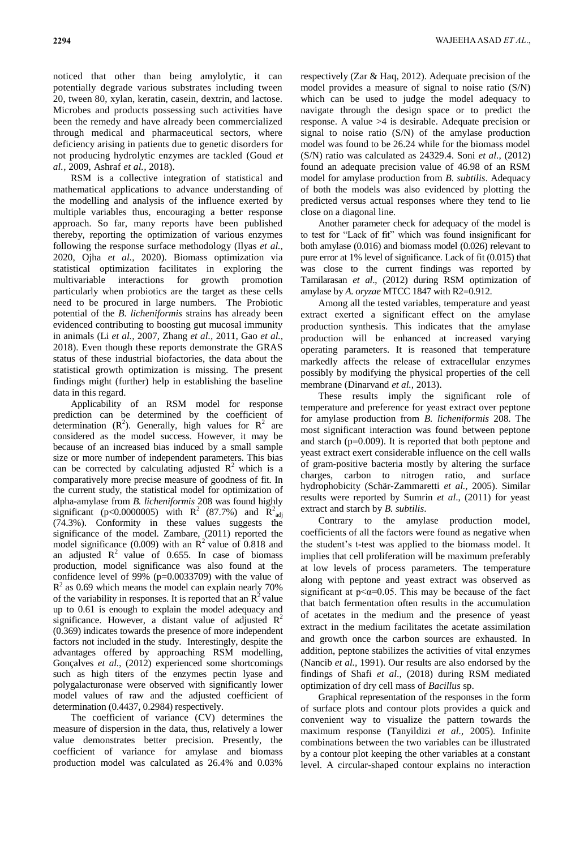noticed that other than being amylolytic, it can potentially degrade various substrates including tween 20, tween 80, xylan, keratin, casein, dextrin, and lactose. Microbes and products possessing such activities have been the remedy and have already been commercialized through medical and pharmaceutical sectors, where deficiency arising in patients due to genetic disorders for not producing hydrolytic enzymes are tackled (Goud *et al.,* 2009, Ashraf *et al.,* 2018).

RSM is a collective integration of statistical and mathematical applications to advance understanding of the modelling and analysis of the influence exerted by multiple variables thus, encouraging a better response approach. So far, many reports have been published thereby, reporting the optimization of various enzymes following the response surface methodology (Ilyas *et al.,* 2020, Ojha *et al.,* 2020). Biomass optimization via statistical optimization facilitates in exploring the multivariable interactions for growth promotion particularly when probiotics are the target as these cells need to be procured in large numbers. The Probiotic potential of the *B. licheniformis* strains has already been evidenced contributing to boosting gut mucosal immunity in animals (Li *et al.,* 2007, Zhang *et al.,* 2011, Gao *et al.,* 2018). Even though these reports demonstrate the GRAS status of these industrial biofactories, the data about the statistical growth optimization is missing. The present findings might (further) help in establishing the baseline data in this regard.

Applicability of an RSM model for response prediction can be determined by the coefficient of determination  $(R^2)$ . Generally, high values for  $R^2$  are considered as the model success. However, it may be because of an increased bias induced by a small sample size or more number of independent parameters. This bias can be corrected by calculating adjusted  $R^2$  which is a comparatively more precise measure of goodness of fit. In the current study, the statistical model for optimization of alpha-amylase from *B. licheniformis* 208 was found highly significant (p<0.0000005) with R<sup>2</sup> (87.7%) and R<sup>2</sup><sub>adj</sub> (74.3%). Conformity in these values suggests the significance of the model. Zambare, (2011) reported the model significance (0.009) with an  $\mathbb{R}^2$  value of 0.818 and an adjusted  $R^2$  value of 0.655. In case of biomass production, model significance was also found at the confidence level of 99% (p=0.0033709) with the value of  $R<sup>2</sup>$  as 0.69 which means the model can explain nearly 70% of the variability in responses. It is reported that an  $\mathbb{R}^2$  value up to 0.61 is enough to explain the model adequacy and significance. However, a distant value of adjusted  $\mathbb{R}^2$ (0.369) indicates towards the presence of more independent factors not included in the study. Interestingly, despite the advantages offered by approaching RSM modelling, Gonçalves *et al.,* (2012) experienced some shortcomings such as high titers of the enzymes pectin lyase and polygalacturonase were observed with significantly lower model values of raw and the adjusted coefficient of determination (0.4437, 0.2984) respectively.

The coefficient of variance (CV) determines the measure of dispersion in the data, thus, relatively a lower value demonstrates better precision. Presently, the coefficient of variance for amylase and biomass production model was calculated as 26.4% and 0.03%

respectively (Zar & Haq, 2012). Adequate precision of the model provides a measure of signal to noise ratio (S/N) which can be used to judge the model adequacy to navigate through the design space or to predict the response. A value >4 is desirable. Adequate precision or signal to noise ratio (S/N) of the amylase production model was found to be 26.24 while for the biomass model (S/N) ratio was calculated as 24329.4. Soni *et al.*, (2012) found an adequate precision value of 46.98 of an RSM model for amylase production from *B. subtilis*. Adequacy of both the models was also evidenced by plotting the predicted versus actual responses where they tend to lie close on a diagonal line.

Another parameter check for adequacy of the model is to test for "Lack of fit" which was found insignificant for both amylase (0.016) and biomass model (0.026) relevant to pure error at 1% level of significance. Lack of fit (0.015) that was close to the current findings was reported by Tamilarasan *et al*., (2012) during RSM optimization of amylase by *A. oryzae* MTCC 1847 with R2=0.912.

Among all the tested variables, temperature and yeast extract exerted a significant effect on the amylase production synthesis. This indicates that the amylase production will be enhanced at increased varying operating parameters. It is reasoned that temperature markedly affects the release of extracellular enzymes possibly by modifying the physical properties of the cell membrane (Dinarvand *et al.,* 2013).

These results imply the significant role of temperature and preference for yeast extract over peptone for amylase production from *B. licheniformis* 208. The most significant interaction was found between peptone and starch (p=0.009). It is reported that both peptone and yeast extract exert considerable influence on the cell walls of gram-positive bacteria mostly by altering the surface charges, carbon to nitrogen ratio, and surface hydrophobicity (Schär-Zammaretti *et al.,* 2005). Similar results were reported by Sumrin *et al*., (2011) for yeast extract and starch by *B. subtilis*.

Contrary to the amylase production model, coefficients of all the factors were found as negative when the student's t-test was applied to the biomass model. It implies that cell proliferation will be maximum preferably at low levels of process parameters. The temperature along with peptone and yeast extract was observed as significant at  $p \leq \alpha = 0.05$ . This may be because of the fact that batch fermentation often results in the accumulation of acetates in the medium and the presence of yeast extract in the medium facilitates the acetate assimilation and growth once the carbon sources are exhausted. In addition, peptone stabilizes the activities of vital enzymes (Nancib *et al.,* 1991). Our results are also endorsed by the findings of Shafi *et al*., (2018) during RSM mediated optimization of dry cell mass of *Bacillus* sp.

Graphical representation of the responses in the form of surface plots and contour plots provides a quick and convenient way to visualize the pattern towards the maximum response (Tanyildizi *et al.,* 2005). Infinite combinations between the two variables can be illustrated by a contour plot keeping the other variables at a constant level. A circular-shaped contour explains no interaction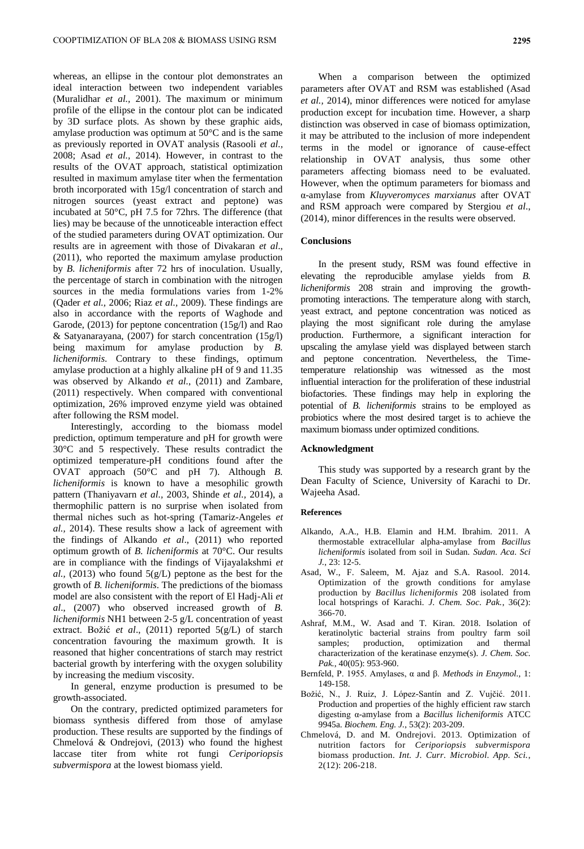whereas, an ellipse in the contour plot demonstrates an ideal interaction between two independent variables (Muralidhar *et al.,* 2001). The maximum or minimum profile of the ellipse in the contour plot can be indicated by 3D surface plots. As shown by these graphic aids, amylase production was optimum at 50°C and is the same as previously reported in OVAT analysis (Rasooli *et al.,* 2008; Asad *et al.,* 2014). However, in contrast to the results of the OVAT approach, statistical optimization resulted in maximum amylase titer when the fermentation broth incorporated with 15g/l concentration of starch and nitrogen sources (yeast extract and peptone) was incubated at 50°C, pH 7.5 for 72hrs. The difference (that lies) may be because of the unnoticeable interaction effect of the studied parameters during OVAT optimization. Our results are in agreement with those of Divakaran *et al*., (2011), who reported the maximum amylase production by *B. licheniformis* after 72 hrs of inoculation. Usually, the percentage of starch in combination with the nitrogen sources in the media formulations varies from 1-2% (Qader *et al.,* 2006; Riaz *et al.,* 2009). These findings are also in accordance with the reports of Waghode and Garode, (2013) for peptone concentration (15g/l) and Rao & Satyanarayana, (2007) for starch concentration (15g/l) being maximum for amylase production by *B. licheniformis*. Contrary to these findings, optimum amylase production at a highly alkaline pH of 9 and 11.35 was observed by Alkando *et al.*, (2011) and Zambare, (2011) respectively. When compared with conventional optimization, 26% improved enzyme yield was obtained after following the RSM model.

Interestingly, according to the biomass model prediction, optimum temperature and pH for growth were 30°C and 5 respectively. These results contradict the optimized temperature-pH conditions found after the OVAT approach (50°C and pH 7). Although *B. licheniformis* is known to have a mesophilic growth pattern (Thaniyavarn *et al.,* 2003, Shinde *et al.,* 2014), a thermophilic pattern is no surprise when isolated from thermal niches such as hot-spring (Tamariz-Angeles *et al.,* 2014). These results show a lack of agreement with the findings of Alkando *et al*., (2011) who reported optimum growth of *B. licheniformis* at 70°C. Our results are in compliance with the findings of Vijayalakshmi *et al.,* (2013) who found 5(g/L) peptone as the best for the growth of *B. licheniformis*. The predictions of the biomass model are also consistent with the report of El Hadj-Ali *et al*., (2007) who observed increased growth of *B. licheniformis* NH1 between 2-5 g/L concentration of yeast extract. Božić *et al*., (2011) reported 5(g/L) of starch concentration favouring the maximum growth. It is reasoned that higher concentrations of starch may restrict bacterial growth by interfering with the oxygen solubility by increasing the medium viscosity.

In general, enzyme production is presumed to be growth-associated.

On the contrary, predicted optimized parameters for biomass synthesis differed from those of amylase production. These results are supported by the findings of Chmelová & Ondrejovi, (2013) who found the highest laccase titer from white rot fungi *Ceriporiopsis subvermispora* at the lowest biomass yield.

When a comparison between the optimized parameters after OVAT and RSM was established (Asad *et al.,* 2014), minor differences were noticed for amylase production except for incubation time. However, a sharp distinction was observed in case of biomass optimization, it may be attributed to the inclusion of more independent terms in the model or ignorance of cause-effect relationship in OVAT analysis, thus some other parameters affecting biomass need to be evaluated. However, when the optimum parameters for biomass and α-amylase from *Kluyveromyces marxianus* after OVAT and RSM approach were compared by Stergiou *et al*., (2014), minor differences in the results were observed.

### **Conclusions**

In the present study, RSM was found effective in elevating the reproducible amylase yields from *B. licheniformis* 208 strain and improving the growthpromoting interactions. The temperature along with starch, yeast extract, and peptone concentration was noticed as playing the most significant role during the amylase production. Furthermore, a significant interaction for upscaling the amylase yield was displayed between starch and peptone concentration. Nevertheless, the Timetemperature relationship was witnessed as the most influential interaction for the proliferation of these industrial biofactories. These findings may help in exploring the potential of *B. licheniformis* strains to be employed as probiotics where the most desired target is to achieve the maximum biomass under optimized conditions.

#### **Acknowledgment**

This study was supported by a research grant by the Dean Faculty of Science, University of Karachi to Dr. Wajeeha Asad.

#### **References**

- Alkando, A.A., H.B. Elamin and H.M. Ibrahim. 2011. A thermostable extracellular alpha-amylase from *Bacillus licheniformis* isolated from soil in Sudan. *Sudan. Aca. Sci J.*, 23: 12-5.
- Asad, W., F. Saleem, M. Ajaz and S.A. Rasool. 2014. Optimization of the growth conditions for amylase production by *Bacillus licheniformis* 208 isolated from local hotsprings of Karachi. *J. Chem. Soc. Pak.*, 36(2): 366-70.
- Ashraf, M.M., W. Asad and T. Kiran. 2018. Isolation of keratinolytic bacterial strains from poultry farm soil samples; production, optimization and thermal characterization of the keratinase enzyme(s). *J. Chem. Soc. Pak.*, 40(05): 953-960.
- Bernfeld, P. 1955. Amylases, α and β. *Methods in Enzymol.,* 1: 149-158.
- Božić, N., J. Ruiz, J. López-Santín and Z. Vujčić. 2011. Production and properties of the highly efficient raw starch digesting α-amylase from a *Bacillus licheniformis* ATCC 9945a. *Biochem. Eng. J.*, 53(2): 203-209.
- Chmelová, D. and M. Ondrejovi. 2013. Optimization of nutrition factors for *Ceriporiopsis subvermispora* biomass production. *Int. J. Curr. Microbiol. App. Sci.*, 2(12): 206-218.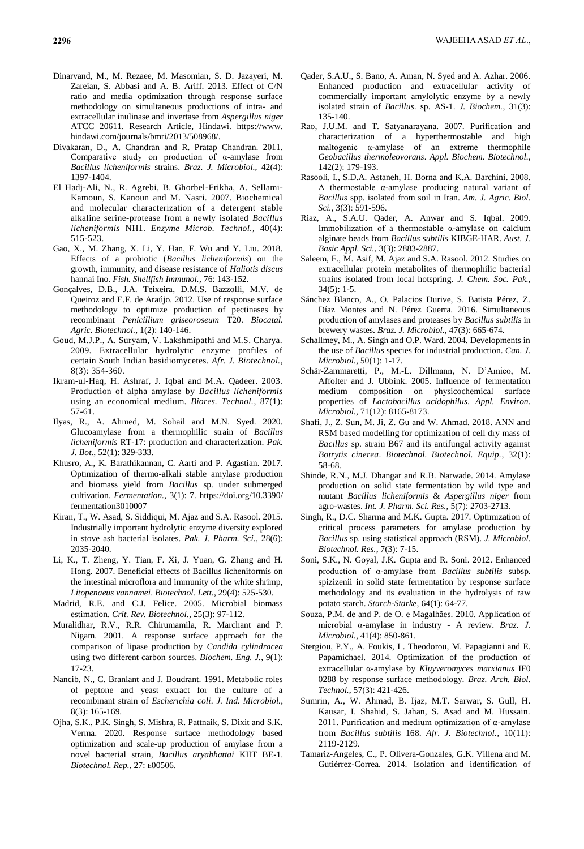- Dinarvand, M., M. Rezaee, M. Masomian, S. D. Jazayeri, M. Zareian, S. Abbasi and A. B. Ariff. 2013. Effect of C/N ratio and media optimization through response surface methodology on simultaneous productions of intra- and extracellular inulinase and invertase from *Aspergillus niger*  ATCC 20611. Research Article, Hindawi. https://www. hindawi.com/journals/bmri/2013/508968/.
- Divakaran, D., A. Chandran and R. Pratap Chandran. 2011. Comparative study on production of α-amylase from *Bacillus licheniformis* strains. *Braz. J. Microbiol.*, 42(4): 1397-1404.
- El Hadj-Ali, N., R. Agrebi, B. Ghorbel-Frikha, A. Sellami-Kamoun, S. Kanoun and M. Nasri. 2007. Biochemical and molecular characterization of a detergent stable alkaline serine-protease from a newly isolated *Bacillus licheniformis* NH1. *Enzyme Microb. Technol.*, 40(4): 515-523.
- Gao, X., M. Zhang, X. Li, Y. Han, F. Wu and Y. Liu. 2018. Effects of a probiotic (*Bacillus licheniformis*) on the growth, immunity, and disease resistance of *Haliotis discus* hannai Ino. *Fish. Shellfish Immunol.*, 76: 143-152.
- Gonçalves, D.B., J.A. Teixeira, D.M.S. Bazzolli, M.V. de Queiroz and E.F. de Araújo. 2012. Use of response surface methodology to optimize production of pectinases by recombinant *Penicillium griseoroseum* T20. *Biocatal. Agric. Biotechnol.*, 1(2): 140-146.
- Goud, M.J.P., A. Suryam, V. Lakshmipathi and M.S. Charya. 2009. Extracellular hydrolytic enzyme profiles of certain South Indian basidiomycetes. *Afr. J. Biotechnol.*, 8(3): 354-360.
- Ikram-ul-Haq, H. Ashraf, J. Iqbal and M.A. Qadeer. 2003. Production of alpha amylase by *Bacillus licheniformis* using an economical medium. *Biores. Technol.*, 87(1): 57-61.
- Ilyas, R., A. Ahmed, M. Sohail and M.N. Syed. 2020. Glucoamylase from a thermophilic strain of *Bacillus licheniformis* RT-17: production and characterization. *Pak. J. Bot.*, 52(1): 329-333.
- Khusro, A., K. Barathikannan, C. Aarti and P. Agastian. 2017. Optimization of thermo-alkali stable amylase production and biomass yield from *Bacillus* sp. under submerged cultivation. *Fermentation.*, 3(1): 7. https://doi.org/10.3390/ fermentation3010007
- Kiran, T., W. Asad, S. Siddiqui, M. Ajaz and S.A. Rasool. 2015. Industrially important hydrolytic enzyme diversity explored in stove ash bacterial isolates. *Pak. J. Pharm. Sci.*, 28(6): 2035-2040.
- Li, K., T. Zheng, Y. Tian, F. Xi, J. Yuan, G. Zhang and H. Hong. 2007. Beneficial effects of Bacillus licheniformis on the intestinal microflora and immunity of the white shrimp, *Litopenaeus vannamei*. *Biotechnol. Lett.*, 29(4): 525-530.
- Madrid, R.E. and C.J. Felice. 2005. Microbial biomass estimation. *Crit. Rev. Biotechnol.*, 25(3): 97-112.
- Muralidhar, R.V., R.R. Chirumamila, R. Marchant and P. Nigam. 2001. A response surface approach for the comparison of lipase production by *Candida cylindracea*  using two different carbon sources. *Biochem. Eng. J.*, 9(1): 17-23.
- Nancib, N., C. Branlant and J. Boudrant. 1991. Metabolic roles of peptone and yeast extract for the culture of a recombinant strain of *Escherichia coli*. *J. Ind. Microbiol.*, 8(3): 165-169.
- Ojha, S.K., P.K. Singh, S. Mishra, R. Pattnaik, S. Dixit and S.K. Verma. 2020. Response surface methodology based optimization and scale-up production of amylase from a novel bacterial strain, *Bacillus aryabhattai* KIIT BE-1. *Biotechnol. Rep.*, 27: E00506.
- Qader, S.A.U., S. Bano, A. Aman, N. Syed and A. Azhar. 2006. Enhanced production and extracellular activity of commercially important amylolytic enzyme by a newly isolated strain of *Bacillus*. sp. AS-1. *J. Biochem.*, 31(3): 135-140.
- Rao, J.U.M. and T. Satyanarayana. 2007. Purification and characterization of a hyperthermostable and high maltogenic α-amylase of an extreme thermophile *Geobacillus thermoleovorans*. *Appl. Biochem. Biotechnol.*, 142(2): 179-193.
- Rasooli, I., S.D.A. Astaneh, H. Borna and K.A. Barchini. 2008. A thermostable α-amylase producing natural variant of *Bacillus* spp. isolated from soil in Iran. *Am. J. Agric. Biol. Sci.*, 3(3): 591-596.
- Riaz, A., S.A.U. Qader, A. Anwar and S. Iqbal. 2009. Immobilization of a thermostable α-amylase on calcium alginate beads from *Bacillus subtilis* KIBGE-HAR. *Aust. J. Basic Appl. Sci.*, 3(3): 2883-2887.
- Saleem, F., M. Asif, M. Ajaz and S.A. Rasool. 2012. Studies on extracellular protein metabolites of thermophilic bacterial strains isolated from local hotspring. *J. Chem. Soc. Pak.*,  $34(5): 1-5.$
- Sánchez Blanco, A., O. Palacios Durive, S. Batista Pérez, Z. Díaz Montes and N. Pérez Guerra. 2016. Simultaneous production of amylases and proteases by *Bacillus subtilis* in brewery wastes. *Braz. J. Microbiol.*, 47(3): 665-674.
- Schallmey, M., A. Singh and O.P. Ward. 2004. Developments in the use of *Bacillus* species for industrial production. *Can. J. Microbiol.*, 50(1): 1-17.
- Schär-Zammaretti, P., M.-L. Dillmann, N. D'Amico, M. Affolter and J. Ubbink. 2005. Influence of fermentation medium composition on physicochemical surface properties of *Lactobacillus acidophilus*. *Appl. Environ. Microbiol.*, 71(12): 8165-8173.
- Shafi, J., Z. Sun, M. Ji, Z. Gu and W. Ahmad. 2018. ANN and RSM based modelling for optimization of cell dry mass of *Bacillus* sp. strain B67 and its antifungal activity against *Botrytis cinerea*. *Biotechnol. Biotechnol. Equip.*, 32(1): 58-68.
- Shinde, R.N., M.J. Dhangar and R.B. Narwade. 2014. Amylase production on solid state fermentation by wild type and mutant *Bacillus licheniformis* & *Aspergillus niger* from agro-wastes. *Int. J. Pharm. Sci. Res.*, 5(7): 2703-2713.
- Singh, R., D.C. Sharma and M.K. Gupta. 2017. Optimization of critical process parameters for amylase production by *Bacillus* sp. using statistical approach (RSM). *J. Microbiol. Biotechnol. Res.*, 7(3): 7-15.
- Soni, S.K., N. Goyal, J.K. Gupta and R. Soni. 2012. Enhanced production of α-amylase from *Bacillus subtilis* subsp. spizizenii in solid state fermentation by response surface methodology and its evaluation in the hydrolysis of raw potato starch. *Starch-Stärke*, 64(1): 64-77.
- Souza, P.M. de and P. de O. e Magalhães. 2010. Application of microbial α-amylase in industry - A review. *Braz. J. Microbiol.*, 41(4): 850-861.
- Stergiou, P.Y., A. Foukis, L. Theodorou, M. Papagianni and E. Papamichael. 2014. Optimization of the production of extracellular α-amylase by *Kluyveromyces marxianus* IF0 0288 by response surface methodology. *Braz. Arch. Biol. Technol.*, 57(3): 421-426.
- Sumrin, A., W. Ahmad, B. Ijaz, M.T. Sarwar, S. Gull, H. Kausar, I. Shahid, S. Jahan, S. Asad and M. Hussain. 2011. Purification and medium optimization of  $\alpha$ -amylase from *Bacillus subtilis* 168. *Afr. J. Biotechnol.*, 10(11): 2119-2129.
- Tamariz-Angeles, C., P. Olivera-Gonzales, G.K. Villena and M. Gutiérrez-Correa. 2014. Isolation and identification of